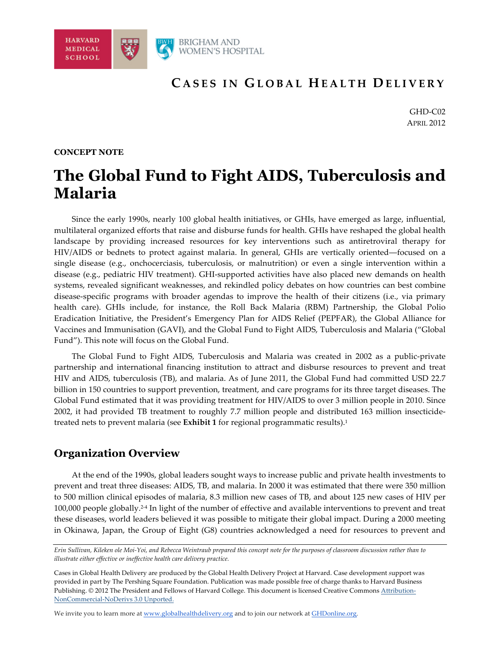

## **C ASES IN G LOBAL H EALTH D ELIVERY**

GHD-C02 APRIL 2012

#### **CONCEPT NOTE**

## **The Global Fund to Fight AIDS, Tuberculosis and Malaria**

Since the early 1990s, nearly 100 global health initiatives, or GHIs, have emerged as large, influential, multilateral organized efforts that raise and disburse funds for health. GHIs have reshaped the global health landscape by providing increased resources for key interventions such as antiretroviral therapy for HIV/AIDS or bednets to protect against malaria. In general, GHIs are vertically oriented—focused on a single disease (e.g., onchocerciasis, tuberculosis, or malnutrition) or even a single intervention within a disease (e.g., pediatric HIV treatment). GHI-supported activities have also placed new demands on health systems, revealed significant weaknesses, and rekindled policy debates on how countries can best combine disease-specific programs with broader agendas to improve the health of their citizens (i.e., via primary health care). GHIs include, for instance, the Roll Back Malaria (RBM) Partnership, the Global Polio Eradication Initiative, the President's Emergency Plan for AIDS Relief (PEPFAR), the Global Alliance for Vaccines and Immunisation (GAVI), and the Global Fund to Fight AIDS, Tuberculosis and Malaria ("Global Fund"). This note will focus on the Global Fund.

The Global Fund to Fight AIDS, Tuberculosis and Malaria was created in 2002 as a public-private partnership and international financing institution to attract and disburse resources to prevent and treat HIV and AIDS, tuberculosis (TB), and malaria. As of June 2011, the Global Fund had committed USD 22.7 billion in 150 countries to support prevention, treatment, and care programs for its three target diseases. The Global Fund estimated that it was providing treatment for HIV/AIDS to over 3 million people in 2010. Since 2002, it had provided TB treatment to roughly 7.7 million people and distributed 163 million insecticidetreated nets to prevent malaria (see **Exhibit 1** for regional programmatic results).1

## **Organization Overview**

At the end of the 1990s, global leaders sought ways to increase public and private health investments to prevent and treat three diseases: AIDS, TB, and malaria. In 2000 it was estimated that there were 350 million to 500 million clinical episodes of malaria, 8.3 million new cases of TB, and about 125 new cases of HIV per 100,000 people globally.2-4 In light of the number of effective and available interventions to prevent and treat these diseases, world leaders believed it was possible to mitigate their global impact. During a 2000 meeting in Okinawa, Japan, the Group of Eight (G8) countries acknowledged a need for resources to prevent and

*Erin Sullivan, Kileken ole Moi-Yoi, and Rebecca Weintraub prepared this concept note for the purposes of classroom discussion rather than to illustrate either effective or ineffective health care delivery practice.* 

Cases in Global Health Delivery are produced by the Global Health Delivery Project at Harvard. Case development *s*upport was provided in part by The Pershing Square Foundation. Publication was made possible free of charge thanks to Harvard Business Publishing. © 2012 The President and Fellows of Harvard College. This document is licensed Creative Commons Attribution-NonCommercial-NoDerivs 3.0 Unported.

We invite you to learn more at www.globalhealthdelivery.org and to join our network at GHDonline.org.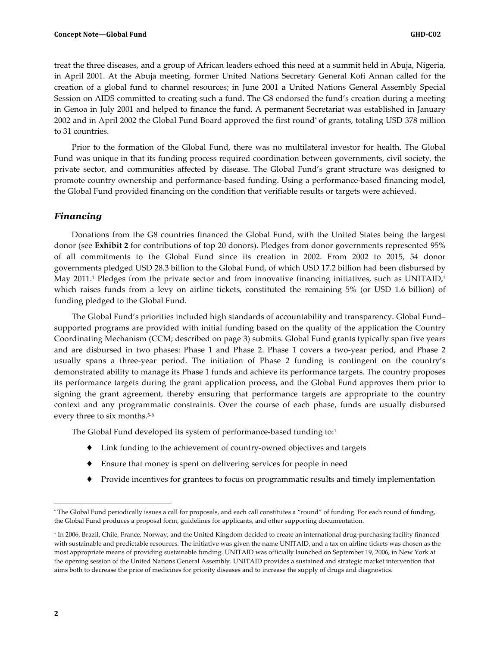treat the three diseases, and a group of African leaders echoed this need at a summit held in Abuja, Nigeria, in April 2001. At the Abuja meeting, former United Nations Secretary General Kofi Annan called for the creation of a global fund to channel resources; in June 2001 a United Nations General Assembly Special Session on AIDS committed to creating such a fund. The G8 endorsed the fund's creation during a meeting in Genoa in July 2001 and helped to finance the fund. A permanent Secretariat was established in January 2002 and in April 2002 the Global Fund Board approved the first round\* of grants, totaling USD 378 million to 31 countries.

Prior to the formation of the Global Fund, there was no multilateral investor for health. The Global Fund was unique in that its funding process required coordination between governments, civil society, the private sector, and communities affected by disease. The Global Fund's grant structure was designed to promote country ownership and performance-based funding. Using a performance-based financing model, the Global Fund provided financing on the condition that verifiable results or targets were achieved.

#### *Financing*

Donations from the G8 countries financed the Global Fund, with the United States being the largest donor (see **Exhibit 2** for contributions of top 20 donors). Pledges from donor governments represented 95% of all commitments to the Global Fund since its creation in 2002. From 2002 to 2015, 54 donor governments pledged USD 28.3 billion to the Global Fund, of which USD 17.2 billion had been disbursed by May 2011.1 Pledges from the private sector and from innovative financing initiatives, such as UNITAID,† which raises funds from a levy on airline tickets, constituted the remaining 5% (or USD 1.6 billion) of funding pledged to the Global Fund.

The Global Fund's priorities included high standards of accountability and transparency. Global Fund– supported programs are provided with initial funding based on the quality of the application the Country Coordinating Mechanism (CCM; described on page 3) submits. Global Fund grants typically span five years and are disbursed in two phases: Phase 1 and Phase 2. Phase 1 covers a two-year period, and Phase 2 usually spans a three-year period. The initiation of Phase 2 funding is contingent on the country's demonstrated ability to manage its Phase 1 funds and achieve its performance targets. The country proposes its performance targets during the grant application process, and the Global Fund approves them prior to signing the grant agreement, thereby ensuring that performance targets are appropriate to the country context and any programmatic constraints. Over the course of each phase, funds are usually disbursed every three to six months.<sup>5-8</sup>

The Global Fund developed its system of performance-based funding to:<sup>1</sup>

- ♦ Link funding to the achievement of country-owned objectives and targets
- ♦ Ensure that money is spent on delivering services for people in need
- ♦ Provide incentives for grantees to focus on programmatic results and timely implementation

 $\overline{a}$ 

<sup>\*</sup> The Global Fund periodically issues a call for proposals, and each call constitutes a "round" of funding. For each round of funding, the Global Fund produces a proposal form, guidelines for applicants, and other supporting documentation.

<sup>†</sup> In 2006, Brazil, Chile, France, Norway, and the United Kingdom decided to create an international drug-purchasing facility financed with sustainable and predictable resources. The initiative was given the name UNITAID, and a tax on airline tickets was chosen as the most appropriate means of providing sustainable funding. UNITAID was officially launched on September 19, 2006, in New York at the opening session of the United Nations General Assembly. UNITAID provides a sustained and strategic market intervention that aims both to decrease the price of medicines for priority diseases and to increase the supply of drugs and diagnostics.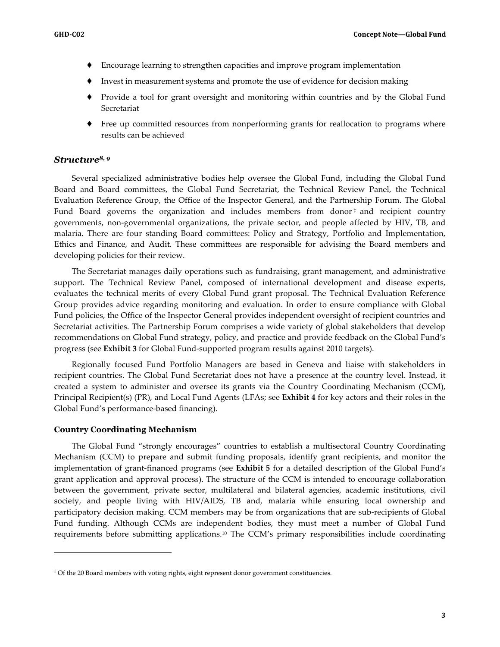- ♦ Encourage learning to strengthen capacities and improve program implementation
- ♦ Invest in measurement systems and promote the use of evidence for decision making
- ♦ Provide a tool for grant oversight and monitoring within countries and by the Global Fund Secretariat
- ♦ Free up committed resources from nonperforming grants for reallocation to programs where results can be achieved

#### *Structure8, 9*

Several specialized administrative bodies help oversee the Global Fund, including the Global Fund Board and Board committees, the Global Fund Secretariat, the Technical Review Panel, the Technical Evaluation Reference Group, the Office of the Inspector General, and the Partnership Forum. The Global Fund Board governs the organization and includes members from donor  $\dagger$  and recipient country governments, non-governmental organizations, the private sector, and people affected by HIV, TB, and malaria. There are four standing Board committees: Policy and Strategy, Portfolio and Implementation, Ethics and Finance, and Audit. These committees are responsible for advising the Board members and developing policies for their review.

The Secretariat manages daily operations such as fundraising, grant management, and administrative support. The Technical Review Panel, composed of international development and disease experts, evaluates the technical merits of every Global Fund grant proposal. The Technical Evaluation Reference Group provides advice regarding monitoring and evaluation. In order to ensure compliance with Global Fund policies, the Office of the Inspector General provides independent oversight of recipient countries and Secretariat activities. The Partnership Forum comprises a wide variety of global stakeholders that develop recommendations on Global Fund strategy, policy, and practice and provide feedback on the Global Fund's progress (see **Exhibit 3** for Global Fund-supported program results against 2010 targets).

Regionally focused Fund Portfolio Managers are based in Geneva and liaise with stakeholders in recipient countries. The Global Fund Secretariat does not have a presence at the country level. Instead, it created a system to administer and oversee its grants via the Country Coordinating Mechanism (CCM), Principal Recipient(s) (PR), and Local Fund Agents (LFAs; see **Exhibit 4** for key actors and their roles in the Global Fund's performance-based financing).

#### **Country Coordinating Mechanism**

 $\overline{a}$ 

The Global Fund "strongly encourages" countries to establish a multisectoral Country Coordinating Mechanism (CCM) to prepare and submit funding proposals, identify grant recipients, and monitor the implementation of grant-financed programs (see **Exhibit 5** for a detailed description of the Global Fund's grant application and approval process). The structure of the CCM is intended to encourage collaboration between the government, private sector, multilateral and bilateral agencies, academic institutions, civil society, and people living with HIV/AIDS, TB and, malaria while ensuring local ownership and participatory decision making. CCM members may be from organizations that are sub-recipients of Global Fund funding. Although CCMs are independent bodies, they must meet a number of Global Fund requirements before submitting applications.10 The CCM's primary responsibilities include coordinating

<sup>‡</sup> Of the 20 Board members with voting rights, eight represent donor government constituencies.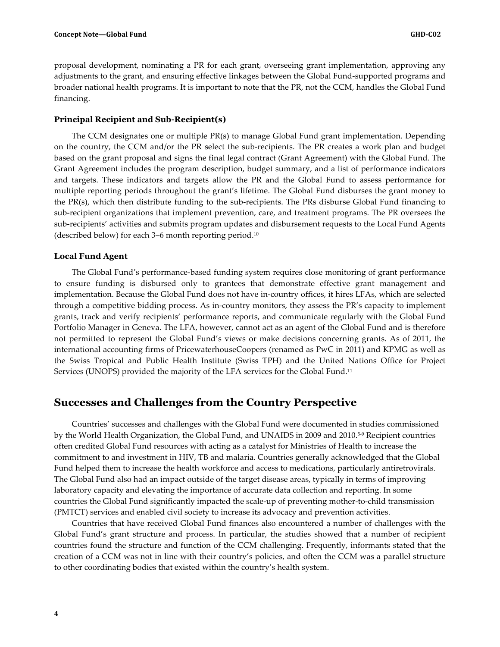proposal development, nominating a PR for each grant, overseeing grant implementation, approving any adjustments to the grant, and ensuring effective linkages between the Global Fund-supported programs and broader national health programs. It is important to note that the PR, not the CCM, handles the Global Fund financing.

#### **Principal Recipient and Sub-Recipient(s)**

The CCM designates one or multiple PR(s) to manage Global Fund grant implementation. Depending on the country, the CCM and/or the PR select the sub-recipients. The PR creates a work plan and budget based on the grant proposal and signs the final legal contract (Grant Agreement) with the Global Fund. The Grant Agreement includes the program description, budget summary, and a list of performance indicators and targets. These indicators and targets allow the PR and the Global Fund to assess performance for multiple reporting periods throughout the grant's lifetime. The Global Fund disburses the grant money to the PR(s), which then distribute funding to the sub-recipients. The PRs disburse Global Fund financing to sub-recipient organizations that implement prevention, care, and treatment programs. The PR oversees the sub-recipients' activities and submits program updates and disbursement requests to the Local Fund Agents (described below) for each 3–6 month reporting period.10

#### **Local Fund Agent**

The Global Fund's performance-based funding system requires close monitoring of grant performance to ensure funding is disbursed only to grantees that demonstrate effective grant management and implementation. Because the Global Fund does not have in-country offices, it hires LFAs, which are selected through a competitive bidding process. As in-country monitors, they assess the PR's capacity to implement grants, track and verify recipients' performance reports, and communicate regularly with the Global Fund Portfolio Manager in Geneva. The LFA, however, cannot act as an agent of the Global Fund and is therefore not permitted to represent the Global Fund's views or make decisions concerning grants. As of 2011, the international accounting firms of PricewaterhouseCoopers (renamed as PwC in 2011) and KPMG as well as the Swiss Tropical and Public Health Institute (Swiss TPH) and the United Nations Office for Project Services (UNOPS) provided the majority of the LFA services for the Global Fund.<sup>11</sup>

#### **Successes and Challenges from the Country Perspective**

Countries' successes and challenges with the Global Fund were documented in studies commissioned by the World Health Organization, the Global Fund, and UNAIDS in 2009 and 2010.5-9 Recipient countries often credited Global Fund resources with acting as a catalyst for Ministries of Health to increase the commitment to and investment in HIV, TB and malaria. Countries generally acknowledged that the Global Fund helped them to increase the health workforce and access to medications, particularly antiretrovirals. The Global Fund also had an impact outside of the target disease areas, typically in terms of improving laboratory capacity and elevating the importance of accurate data collection and reporting. In some countries the Global Fund significantly impacted the scale-up of preventing mother-to-child transmission (PMTCT) services and enabled civil society to increase its advocacy and prevention activities.

Countries that have received Global Fund finances also encountered a number of challenges with the Global Fund's grant structure and process. In particular, the studies showed that a number of recipient countries found the structure and function of the CCM challenging. Frequently, informants stated that the creation of a CCM was not in line with their country's policies, and often the CCM was a parallel structure to other coordinating bodies that existed within the country's health system.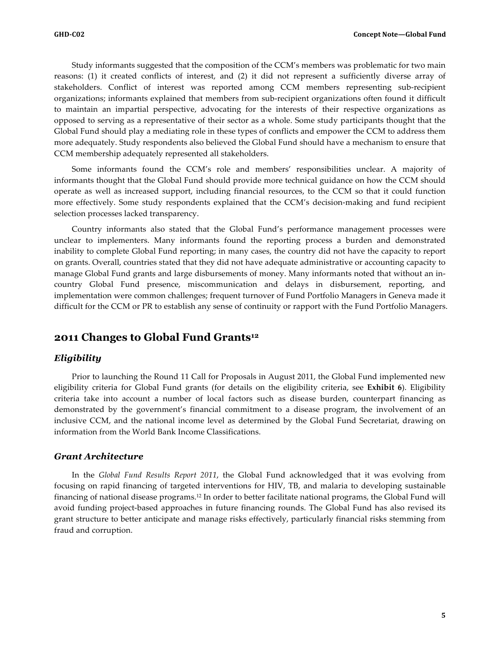Study informants suggested that the composition of the CCM's members was problematic for two main reasons: (1) it created conflicts of interest, and (2) it did not represent a sufficiently diverse array of stakeholders. Conflict of interest was reported among CCM members representing sub-recipient organizations; informants explained that members from sub-recipient organizations often found it difficult to maintain an impartial perspective, advocating for the interests of their respective organizations as opposed to serving as a representative of their sector as a whole. Some study participants thought that the Global Fund should play a mediating role in these types of conflicts and empower the CCM to address them more adequately. Study respondents also believed the Global Fund should have a mechanism to ensure that CCM membership adequately represented all stakeholders.

Some informants found the CCM's role and members' responsibilities unclear. A majority of informants thought that the Global Fund should provide more technical guidance on how the CCM should operate as well as increased support, including financial resources, to the CCM so that it could function more effectively. Some study respondents explained that the CCM's decision-making and fund recipient selection processes lacked transparency.

Country informants also stated that the Global Fund's performance management processes were unclear to implementers. Many informants found the reporting process a burden and demonstrated inability to complete Global Fund reporting; in many cases, the country did not have the capacity to report on grants. Overall, countries stated that they did not have adequate administrative or accounting capacity to manage Global Fund grants and large disbursements of money. Many informants noted that without an incountry Global Fund presence, miscommunication and delays in disbursement, reporting, and implementation were common challenges; frequent turnover of Fund Portfolio Managers in Geneva made it difficult for the CCM or PR to establish any sense of continuity or rapport with the Fund Portfolio Managers.

#### **2011 Changes to Global Fund Grants12**

#### *Eligibility*

Prior to launching the Round 11 Call for Proposals in August 2011, the Global Fund implemented new eligibility criteria for Global Fund grants (for details on the eligibility criteria, see **Exhibit 6**). Eligibility criteria take into account a number of local factors such as disease burden, counterpart financing as demonstrated by the government's financial commitment to a disease program, the involvement of an inclusive CCM, and the national income level as determined by the Global Fund Secretariat, drawing on information from the World Bank Income Classifications.

#### *Grant Architecture*

In the *Global Fund Results Report 2011*, the Global Fund acknowledged that it was evolving from focusing on rapid financing of targeted interventions for HIV, TB, and malaria to developing sustainable financing of national disease programs.12 In order to better facilitate national programs, the Global Fund will avoid funding project-based approaches in future financing rounds. The Global Fund has also revised its grant structure to better anticipate and manage risks effectively, particularly financial risks stemming from fraud and corruption.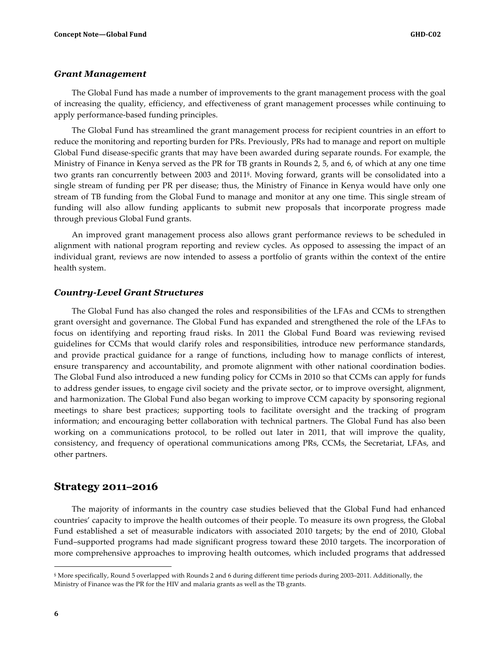#### *Grant Management*

The Global Fund has made a number of improvements to the grant management process with the goal of increasing the quality, efficiency, and effectiveness of grant management processes while continuing to apply performance-based funding principles.

The Global Fund has streamlined the grant management process for recipient countries in an effort to reduce the monitoring and reporting burden for PRs. Previously, PRs had to manage and report on multiple Global Fund disease-specific grants that may have been awarded during separate rounds. For example, the Ministry of Finance in Kenya served as the PR for TB grants in Rounds 2, 5, and 6, of which at any one time two grants ran concurrently between 2003 and 2011§. Moving forward, grants will be consolidated into a single stream of funding per PR per disease; thus, the Ministry of Finance in Kenya would have only one stream of TB funding from the Global Fund to manage and monitor at any one time. This single stream of funding will also allow funding applicants to submit new proposals that incorporate progress made through previous Global Fund grants.

An improved grant management process also allows grant performance reviews to be scheduled in alignment with national program reporting and review cycles. As opposed to assessing the impact of an individual grant, reviews are now intended to assess a portfolio of grants within the context of the entire health system.

#### *Country-Level Grant Structures*

The Global Fund has also changed the roles and responsibilities of the LFAs and CCMs to strengthen grant oversight and governance. The Global Fund has expanded and strengthened the role of the LFAs to focus on identifying and reporting fraud risks. In 2011 the Global Fund Board was reviewing revised guidelines for CCMs that would clarify roles and responsibilities, introduce new performance standards, and provide practical guidance for a range of functions, including how to manage conflicts of interest, ensure transparency and accountability, and promote alignment with other national coordination bodies. The Global Fund also introduced a new funding policy for CCMs in 2010 so that CCMs can apply for funds to address gender issues, to engage civil society and the private sector, or to improve oversight, alignment, and harmonization. The Global Fund also began working to improve CCM capacity by sponsoring regional meetings to share best practices; supporting tools to facilitate oversight and the tracking of program information; and encouraging better collaboration with technical partners. The Global Fund has also been working on a communications protocol, to be rolled out later in 2011, that will improve the quality, consistency, and frequency of operational communications among PRs, CCMs, the Secretariat, LFAs, and other partners.

#### **Strategy 2011–2016**

The majority of informants in the country case studies believed that the Global Fund had enhanced countries' capacity to improve the health outcomes of their people. To measure its own progress, the Global Fund established a set of measurable indicators with associated 2010 targets; by the end of 2010, Global Fund–supported programs had made significant progress toward these 2010 targets. The incorporation of more comprehensive approaches to improving health outcomes, which included programs that addressed

 $\overline{a}$ 

<sup>§</sup> More specifically, Round 5 overlapped with Rounds 2 and 6 during different time periods during 2003–2011. Additionally, the Ministry of Finance was the PR for the HIV and malaria grants as well as the TB grants.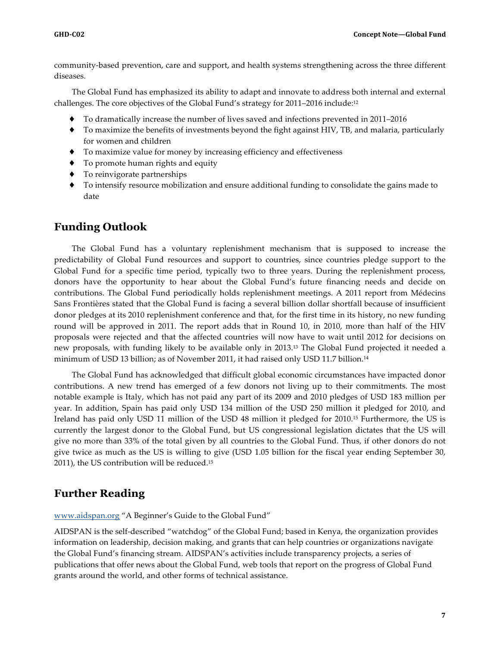community-based prevention, care and support, and health systems strengthening across the three different diseases.

The Global Fund has emphasized its ability to adapt and innovate to address both internal and external challenges. The core objectives of the Global Fund's strategy for 2011–2016 include:12

- ♦ To dramatically increase the number of lives saved and infections prevented in 2011–2016
- ♦ To maximize the benefits of investments beyond the fight against HIV, TB, and malaria, particularly for women and children
- ♦ To maximize value for money by increasing efficiency and effectiveness
- ♦ To promote human rights and equity
- To reinvigorate partnerships
- ♦ To intensify resource mobilization and ensure additional funding to consolidate the gains made to date

#### **Funding Outlook**

The Global Fund has a voluntary replenishment mechanism that is supposed to increase the predictability of Global Fund resources and support to countries, since countries pledge support to the Global Fund for a specific time period, typically two to three years. During the replenishment process, donors have the opportunity to hear about the Global Fund's future financing needs and decide on contributions. The Global Fund periodically holds replenishment meetings. A 2011 report from Médecins Sans Frontières stated that the Global Fund is facing a several billion dollar shortfall because of insufficient donor pledges at its 2010 replenishment conference and that, for the first time in its history, no new funding round will be approved in 2011. The report adds that in Round 10, in 2010, more than half of the HIV proposals were rejected and that the affected countries will now have to wait until 2012 for decisions on new proposals, with funding likely to be available only in 2013.13 The Global Fund projected it needed a minimum of USD 13 billion; as of November 2011, it had raised only USD 11.7 billion.14

The Global Fund has acknowledged that difficult global economic circumstances have impacted donor contributions. A new trend has emerged of a few donors not living up to their commitments. The most notable example is Italy, which has not paid any part of its 2009 and 2010 pledges of USD 183 million per year. In addition, Spain has paid only USD 134 million of the USD 250 million it pledged for 2010, and Ireland has paid only USD 11 million of the USD 48 million it pledged for 2010.15 Furthermore, the US is currently the largest donor to the Global Fund, but US congressional legislation dictates that the US will give no more than 33% of the total given by all countries to the Global Fund. Thus, if other donors do not give twice as much as the US is willing to give (USD 1.05 billion for the fiscal year ending September 30, 2011), the US contribution will be reduced.15

## **Further Reading**

www.aidspan.org "A Beginner's Guide to the Global Fund"

AIDSPAN is the self-described "watchdog" of the Global Fund; based in Kenya, the organization provides information on leadership, decision making, and grants that can help countries or organizations navigate the Global Fund's financing stream. AIDSPAN's activities include transparency projects, a series of publications that offer news about the Global Fund, web tools that report on the progress of Global Fund grants around the world, and other forms of technical assistance.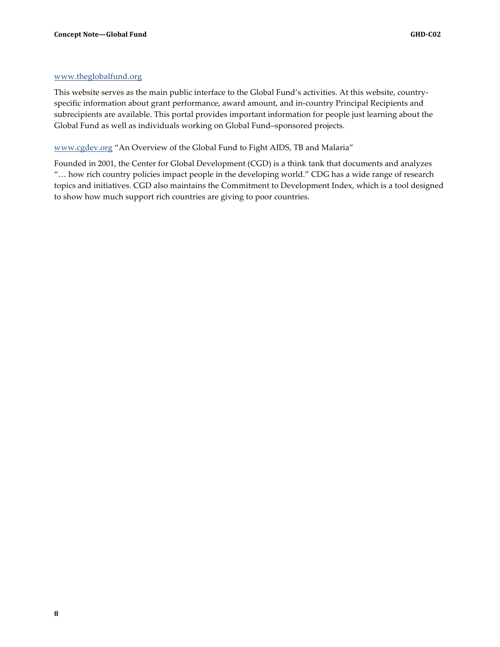#### www.theglobalfund.org

This website serves as the main public interface to the Global Fund's activities. At this website, countryspecific information about grant performance, award amount, and in-country Principal Recipients and subrecipients are available. This portal provides important information for people just learning about the Global Fund as well as individuals working on Global Fund–sponsored projects.

www.cgdev.org "An Overview of the Global Fund to Fight AIDS, TB and Malaria"

Founded in 2001, the Center for Global Development (CGD) is a think tank that documents and analyzes "… how rich country policies impact people in the developing world." CDG has a wide range of research topics and initiatives. CGD also maintains the Commitment to Development Index, which is a tool designed to show how much support rich countries are giving to poor countries.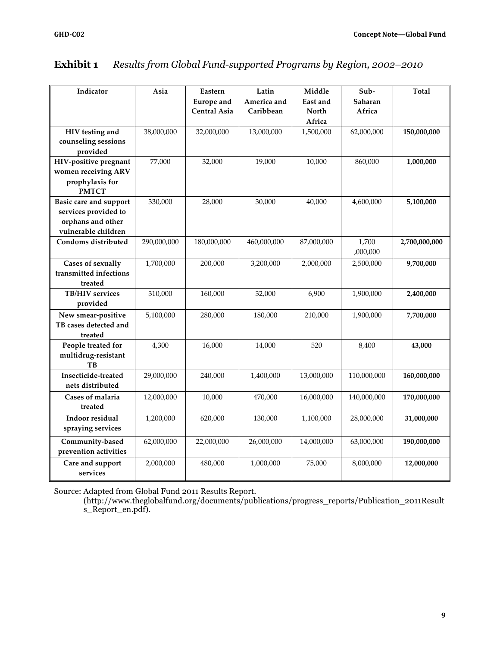| Indicator                                                                                         | Asia        | Eastern<br><b>Europe</b> and<br><b>Central Asia</b> | Latin<br>America and<br>Caribbean | Middle<br>East and<br><b>North</b><br>Africa | Sub-<br>Saharan<br>Africa | <b>Total</b>  |
|---------------------------------------------------------------------------------------------------|-------------|-----------------------------------------------------|-----------------------------------|----------------------------------------------|---------------------------|---------------|
| HIV testing and<br>counseling sessions<br>provided                                                | 38,000,000  | 32,000,000                                          | 13,000,000                        | 1,500,000                                    | 62,000,000                | 150,000,000   |
| HIV-positive pregnant<br>women receiving ARV<br>prophylaxis for<br><b>PMTCT</b>                   | 77,000      | 32,000                                              | 19,000                            | 10,000                                       | 860,000                   | 1,000,000     |
| <b>Basic care and support</b><br>services provided to<br>orphans and other<br>vulnerable children | 330,000     | 28,000                                              | 30,000                            | 40,000                                       | 4,600,000                 | 5,100,000     |
| Condoms distributed                                                                               | 290,000,000 | 180,000,000                                         | 460,000,000                       | 87,000,000                                   | 1,700<br>,000,000         | 2,700,000,000 |
| <b>Cases of sexually</b><br>transmitted infections<br>treated                                     | 1,700,000   | 200,000                                             | 3,200,000                         | 2,000,000                                    | 2,500,000                 | 9,700,000     |
| <b>TB/HIV</b> services<br>provided                                                                | 310,000     | 160,000                                             | 32,000                            | 6,900                                        | 1,900,000                 | 2,400,000     |
| New smear-positive<br>TB cases detected and<br>treated                                            | 5,100,000   | 280,000                                             | 180,000                           | 210,000                                      | 1,900,000                 | 7,700,000     |
| People treated for<br>multidrug-resistant<br><b>TB</b>                                            | 4,300       | 16,000                                              | 14,000                            | 520                                          | 8,400                     | 43,000        |
| Insecticide-treated<br>nets distributed                                                           | 29,000,000  | 240,000                                             | 1,400,000                         | 13,000,000                                   | 110,000,000               | 160,000,000   |
| Cases of malaria<br>treated                                                                       | 12,000,000  | 10,000                                              | 470,000                           | 16,000,000                                   | 140,000,000               | 170,000,000   |
| Indoor residual<br>spraying services                                                              | 1,200,000   | 620,000                                             | 130,000                           | 1,100,000                                    | 28,000,000                | 31,000,000    |
| Community-based<br>prevention activities                                                          | 62,000,000  | 22,000,000                                          | 26,000,000                        | 14,000,000                                   | 63,000,000                | 190,000,000   |
| Care and support<br>services                                                                      | 2,000,000   | 480,000                                             | 1,000,000                         | 75,000                                       | 8,000,000                 | 12,000,000    |

## **Exhibit 1** *Results from Global Fund-supported Programs by Region, 2002–2010*

Source: Adapted from Global Fund 2011 Results Report.

(http://www.theglobalfund.org/documents/publications/progress\_reports/Publication\_2011Result s\_Report\_en.pdf).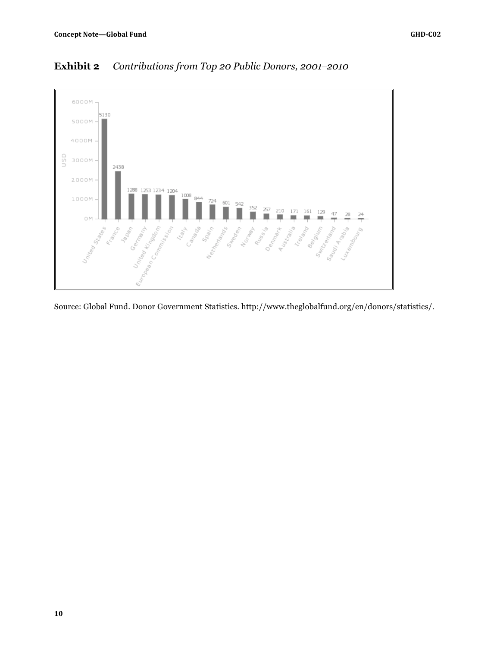

## **Exhibit 2** *Contributions from Top 20 Public Donors, 2001–2010*

Source: Global Fund. Donor Government Statistics. http://www.theglobalfund.org/en/donors/statistics/.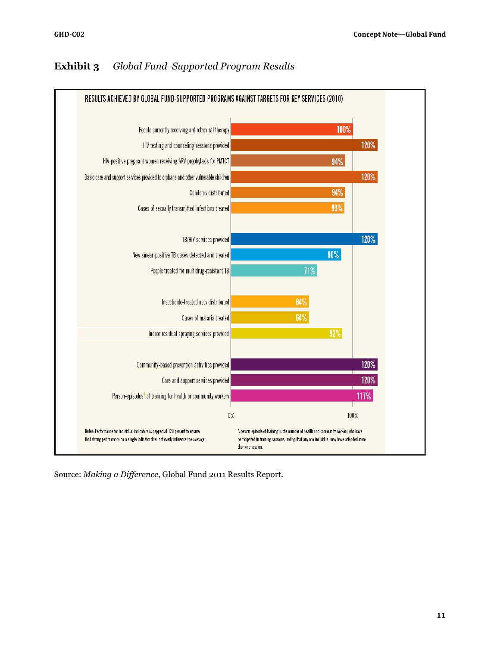#### RESULTS ACHIEVED BY GLOBAL FUND-SUPPORTED PROGRAMS AGAINST TARGETS FOR KEY SERVICES (2010) People currently receiving antiretroviral therapy 100% 120% HIV testing and counseling sessions provided HIV-positive pregnant women receiving ARV prophylaxis for PMTCT 94% Basic care and support services provided to orphans and other vulnerable children 120% Condoms distributed 94% Cases of sexually transmitted infections treated 93% 120% TB/HIV services provided 90% New smear-positive TB cases detected and treated People treated for multidrug-resistant TB 71% Insecticide-treated nets distributed 64% 64% Cases of malaria treated 92% Indoor residual spraying services provided Community-based prevention activities provided 120% 120% Care and support services provided Person-episodes<sup>1</sup> of training for health or community workers 117%  $0\%$ 100% Notes: Performance for individual indicators is capped at 120 percent to ensure 1 A person-episode of training is the number of health and community workers who have that strong performance on a single indicator does not overly influence the average. participated in training sessions, noting that any one individual may have attended more than one session.

## **Exhibit 3** *Global Fund–Supported Program Results*

Source: *Making a Difference*, Global Fund 2011 Results Report.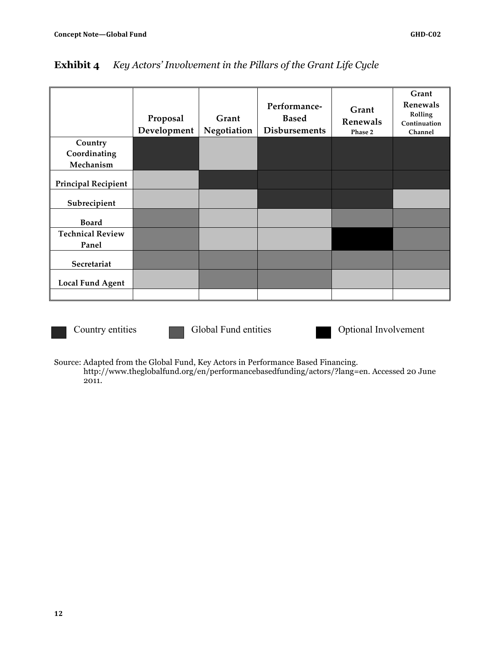|                            | Proposal<br>Development | Grant<br>Negotiation | Performance-<br><b>Based</b><br><b>Disbursements</b> | Grant<br>Renewals<br>Phase 2 | Grant<br>Renewals<br>Rolling<br>Continuation<br>Channel |
|----------------------------|-------------------------|----------------------|------------------------------------------------------|------------------------------|---------------------------------------------------------|
| Country                    |                         |                      |                                                      |                              |                                                         |
| Coordinating               |                         |                      |                                                      |                              |                                                         |
| Mechanism                  |                         |                      |                                                      |                              |                                                         |
| <b>Principal Recipient</b> |                         |                      |                                                      |                              |                                                         |
| Subrecipient               |                         |                      |                                                      |                              |                                                         |
| <b>Board</b>               |                         |                      |                                                      |                              |                                                         |
| <b>Technical Review</b>    |                         |                      |                                                      |                              |                                                         |
| Panel                      |                         |                      |                                                      |                              |                                                         |
| Secretariat                |                         |                      |                                                      |                              |                                                         |
| <b>Local Fund Agent</b>    |                         |                      |                                                      |                              |                                                         |
|                            |                         |                      |                                                      |                              |                                                         |

## **Exhibit 4** *Key Actors' Involvement in the Pillars of the Grant Life Cycle*



Country entities Global Fund entities Optional Involvement

Source: Adapted from the Global Fund, Key Actors in Performance Based Financing.

http://www.theglobalfund.org/en/performancebasedfunding/actors/?lang=en. Accessed 20 June 2011.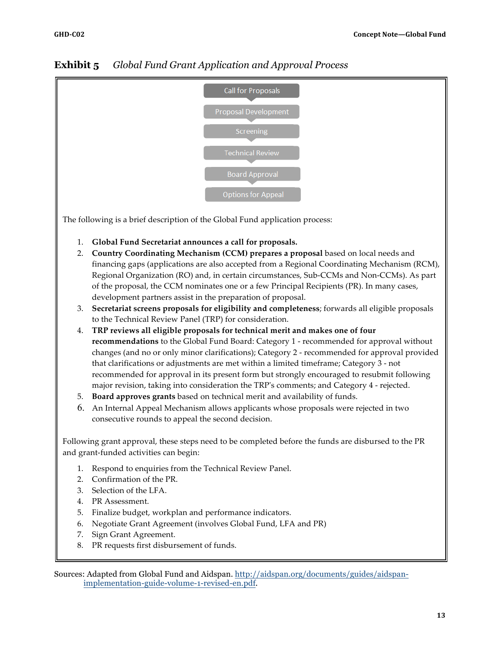# **Call for Proposals** Screening **Technical Review Board Approval** Options for Appeal

## **Exhibit 5** *Global Fund Grant Application and Approval Process*

The following is a brief description of the Global Fund application process:

- 1. **Global Fund Secretariat announces a call for proposals.**
- 2. **Country Coordinating Mechanism (CCM) prepares a proposal** based on local needs and financing gaps (applications are also accepted from a Regional Coordinating Mechanism (RCM), Regional Organization (RO) and, in certain circumstances, Sub-CCMs and Non-CCMs). As part of the proposal, the CCM nominates one or a few Principal Recipients (PR). In many cases, development partners assist in the preparation of proposal.
- 3. **Secretariat screens proposals for eligibility and completeness**; forwards all eligible proposals to the Technical Review Panel (TRP) for consideration.
- 4. **TRP reviews all eligible proposals for technical merit and makes one of four recommendations** to the Global Fund Board: Category 1 - recommended for approval without changes (and no or only minor clarifications); Category 2 - recommended for approval provided that clarifications or adjustments are met within a limited timeframe; Category 3 - not recommended for approval in its present form but strongly encouraged to resubmit following major revision, taking into consideration the TRP's comments; and Category 4 - rejected.
- 5. **Board approves grants** based on technical merit and availability of funds.
- 6. An Internal Appeal Mechanism allows applicants whose proposals were rejected in two consecutive rounds to appeal the second decision.

Following grant approval, these steps need to be completed before the funds are disbursed to the PR and grant-funded activities can begin:

- 1. Respond to enquiries from the Technical Review Panel.
- 2. Confirmation of the PR.
- 3. Selection of the LFA.
- 4. PR Assessment.
- 5. Finalize budget, workplan and performance indicators.
- 6. Negotiate Grant Agreement (involves Global Fund, LFA and PR)
- 7. Sign Grant Agreement.
- 8. PR requests first disbursement of funds.

Sources: Adapted from Global Fund and Aidspan. http://aidspan.org/documents/guides/aidspanimplementation-guide-volume-1-revised-en.pdf.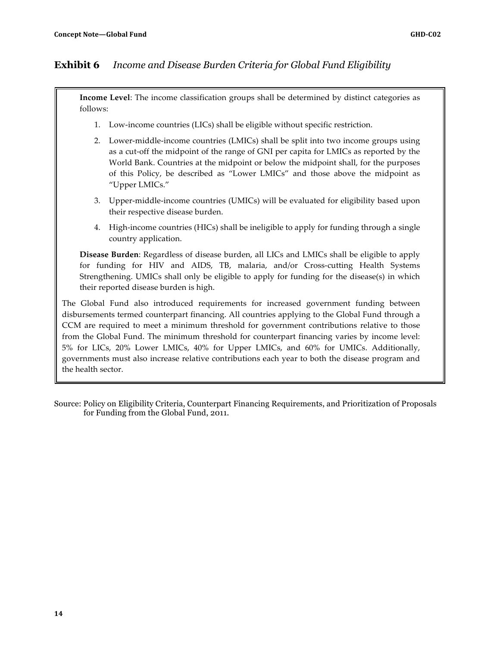## **Exhibit 6** *Income and Disease Burden Criteria for Global Fund Eligibility*

**Income Level**: The income classification groups shall be determined by distinct categories as follows:

- 1. Low-income countries (LICs) shall be eligible without specific restriction.
- 2. Lower-middle-income countries (LMICs) shall be split into two income groups using as a cut-off the midpoint of the range of GNI per capita for LMICs as reported by the World Bank. Countries at the midpoint or below the midpoint shall, for the purposes of this Policy, be described as "Lower LMICs" and those above the midpoint as "Upper LMICs."
- 3. Upper-middle-income countries (UMICs) will be evaluated for eligibility based upon their respective disease burden.
- 4. High-income countries (HICs) shall be ineligible to apply for funding through a single country application.

**Disease Burden**: Regardless of disease burden, all LICs and LMICs shall be eligible to apply for funding for HIV and AIDS, TB, malaria, and/or Cross-cutting Health Systems Strengthening. UMICs shall only be eligible to apply for funding for the disease(s) in which their reported disease burden is high.

The Global Fund also introduced requirements for increased government funding between disbursements termed counterpart financing. All countries applying to the Global Fund through a CCM are required to meet a minimum threshold for government contributions relative to those from the Global Fund. The minimum threshold for counterpart financing varies by income level: 5% for LICs, 20% Lower LMICs, 40% for Upper LMICs, and 60% for UMICs. Additionally, governments must also increase relative contributions each year to both the disease program and the health sector.

Source: Policy on Eligibility Criteria, Counterpart Financing Requirements, and Prioritization of Proposals for Funding from the Global Fund, 2011.